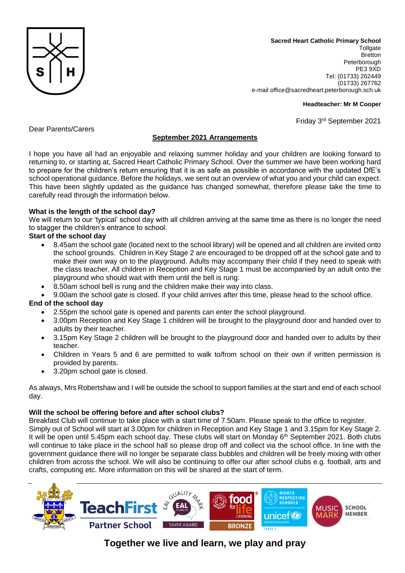

**Sacred Heart Catholic Primary School Tollgate Bretton** Peterborough PE3 9XD Tel: (01733) 262449 (01733) 267762 e-mail office@sacredheart.peterborough.sch.uk

#### **Headteacher: Mr M Cooper**

Friday 3 rd September 2021

Dear Parents/Carers

# **September 2021 Arrangements**

I hope you have all had an enjoyable and relaxing summer holiday and your children are looking forward to returning to, or starting at, Sacred Heart Catholic Primary School. Over the summer we have been working hard to prepare for the children's return ensuring that it is as safe as possible in accordance with the updated DfE's school operational guidance. Before the holidays, we sent out an overview of what you and your child can expect. This have been slightly updated as the guidance has changed somewhat, therefore please take the time to carefully read through the information below.

## **What is the length of the school day?**

We will return to our 'typical' school day with all children arriving at the same time as there is no longer the need to stagger the children's entrance to school.

## **Start of the school day**

- 8.45am the school gate (located next to the school library) will be opened and all children are invited onto the school grounds. Children in Key Stage 2 are encouraged to be dropped off at the school gate and to make their own way on to the playground. Adults may accompany their child if they need to speak with the class teacher. All children in Reception and Key Stage 1 must be accompanied by an adult onto the playground who should wait with them until the bell is rung.
- 8.50am school bell is rung and the children make their way into class.
- 9.00am the school gate is closed. If your child arrives after this time, please head to the school office.

#### **End of the school day**

- 2.55pm the school gate is opened and parents can enter the school playground.
- 3.00pm Reception and Key Stage 1 children will be brought to the playground door and handed over to adults by their teacher.
- 3.15pm Key Stage 2 children will be brought to the playground door and handed over to adults by their teacher.
- Children in Years 5 and 6 are permitted to walk to/from school on their own if written permission is provided by parents.
- 3.20pm school gate is closed.

As always, Mrs Robertshaw and I will be outside the school to support families at the start and end of each school day.

#### **Will the school be offering before and after school clubs?**

Breakfast Club will continue to take place with a start time of 7.50am. Please speak to the office to register. Simply out of School will start at 3.00pm for children in Reception and Key Stage 1 and 3.15pm for Key Stage 2. It will be open until 5.45pm each school day. These clubs will start on Monday 6<sup>th</sup> September 2021. Both clubs will continue to take place in the school hall so please drop off and collect via the school office. In line with the government guidance there will no longer be separate class bubbles and children will be freely mixing with other children from across the school. We will also be continuing to offer our after school clubs e.g. football, arts and crafts, computing etc. More information on this will be shared at the start of term.



# **Together we live and learn, we play and pray**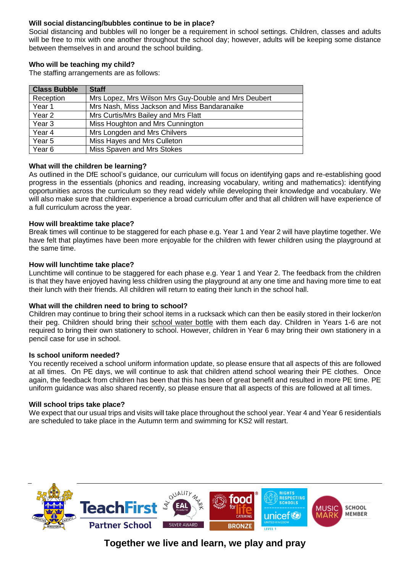# **Will social distancing/bubbles continue to be in place?**

Social distancing and bubbles will no longer be a requirement in school settings. Children, classes and adults will be free to mix with one another throughout the school day; however, adults will be keeping some distance between themselves in and around the school building.

## **Who will be teaching my child?**

The staffing arrangements are as follows:

| <b>Class Bubble</b> | <b>Staff</b>                                         |
|---------------------|------------------------------------------------------|
| Reception           | Mrs Lopez, Mrs Wilson Mrs Guy-Double and Mrs Deubert |
| Year 1              | Mrs Nash, Miss Jackson and Miss Bandaranaike         |
| Year 2              | Mrs Curtis/Mrs Bailey and Mrs Flatt                  |
| Year <sub>3</sub>   | Miss Houghton and Mrs Cunnington                     |
| Year 4              | Mrs Longden and Mrs Chilvers                         |
| Year <sub>5</sub>   | Miss Hayes and Mrs Culleton                          |
| Year <sub>6</sub>   | Miss Spaven and Mrs Stokes                           |

#### **What will the children be learning?**

As outlined in the DfE school's guidance, our curriculum will focus on identifying gaps and re-establishing good progress in the essentials (phonics and reading, increasing vocabulary, writing and mathematics): identifying opportunities across the curriculum so they read widely while developing their knowledge and vocabulary. We will also make sure that children experience a broad curriculum offer and that all children will have experience of a full curriculum across the year.

## **How will breaktime take place?**

Break times will continue to be staggered for each phase e.g. Year 1 and Year 2 will have playtime together. We have felt that playtimes have been more enjoyable for the children with fewer children using the playground at the same time.

## **How will lunchtime take place?**

Lunchtime will continue to be staggered for each phase e.g. Year 1 and Year 2. The feedback from the children is that they have enjoyed having less children using the playground at any one time and having more time to eat their lunch with their friends. All children will return to eating their lunch in the school hall.

#### **What will the children need to bring to school?**

Children may continue to bring their school items in a rucksack which can then be easily stored in their locker/on their peg. Children should bring their school water bottle with them each day. Children in Years 1-6 are not required to bring their own stationery to school. However, children in Year 6 may bring their own stationery in a pencil case for use in school.

#### **Is school uniform needed?**

You recently received a school uniform information update, so please ensure that all aspects of this are followed at all times. On PE days, we will continue to ask that children attend school wearing their PE clothes. Once again, the feedback from children has been that this has been of great benefit and resulted in more PE time. PE uniform guidance was also shared recently, so please ensure that all aspects of this are followed at all times.

#### **Will school trips take place?**

We expect that our usual trips and visits will take place throughout the school year. Year 4 and Year 6 residentials are scheduled to take place in the Autumn term and swimming for KS2 will restart.



**Together we live and learn, we play and pray**